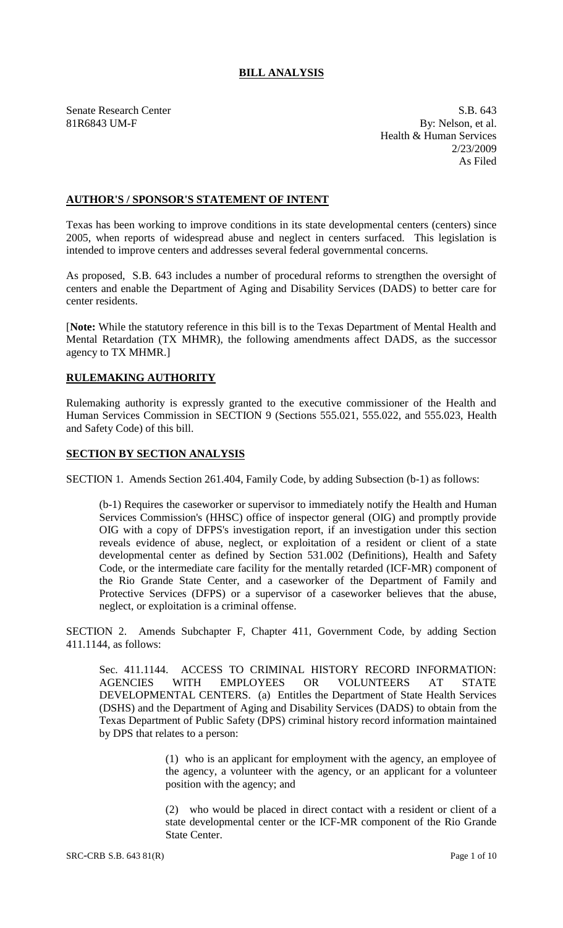# **BILL ANALYSIS**

Senate Research Center S.B. 643 81R6843 UM-F By: Nelson, et al. Health & Human Services 2/23/2009 As Filed

## **AUTHOR'S / SPONSOR'S STATEMENT OF INTENT**

Texas has been working to improve conditions in its state developmental centers (centers) since 2005, when reports of widespread abuse and neglect in centers surfaced. This legislation is intended to improve centers and addresses several federal governmental concerns.

As proposed, S.B. 643 includes a number of procedural reforms to strengthen the oversight of centers and enable the Department of Aging and Disability Services (DADS) to better care for center residents.

[**Note:** While the statutory reference in this bill is to the Texas Department of Mental Health and Mental Retardation (TX MHMR), the following amendments affect DADS, as the successor agency to TX MHMR.]

# **RULEMAKING AUTHORITY**

Rulemaking authority is expressly granted to the executive commissioner of the Health and Human Services Commission in SECTION 9 (Sections 555.021, 555.022, and 555.023, Health and Safety Code) of this bill.

## **SECTION BY SECTION ANALYSIS**

SECTION 1. Amends Section 261.404, Family Code, by adding Subsection (b-1) as follows:

(b-1) Requires the caseworker or supervisor to immediately notify the Health and Human Services Commission's (HHSC) office of inspector general (OIG) and promptly provide OIG with a copy of DFPS's investigation report, if an investigation under this section reveals evidence of abuse, neglect, or exploitation of a resident or client of a state developmental center as defined by Section 531.002 (Definitions), Health and Safety Code, or the intermediate care facility for the mentally retarded (ICF-MR) component of the Rio Grande State Center, and a caseworker of the Department of Family and Protective Services (DFPS) or a supervisor of a caseworker believes that the abuse, neglect, or exploitation is a criminal offense.

SECTION 2. Amends Subchapter F, Chapter 411, Government Code, by adding Section 411.1144, as follows:

Sec. 411.1144. ACCESS TO CRIMINAL HISTORY RECORD INFORMATION: AGENCIES WITH EMPLOYEES OR VOLUNTEERS AT STATE DEVELOPMENTAL CENTERS. (a) Entitles the Department of State Health Services (DSHS) and the Department of Aging and Disability Services (DADS) to obtain from the Texas Department of Public Safety (DPS) criminal history record information maintained by DPS that relates to a person:

> (1) who is an applicant for employment with the agency, an employee of the agency, a volunteer with the agency, or an applicant for a volunteer position with the agency; and

> (2) who would be placed in direct contact with a resident or client of a state developmental center or the ICF-MR component of the Rio Grande State Center.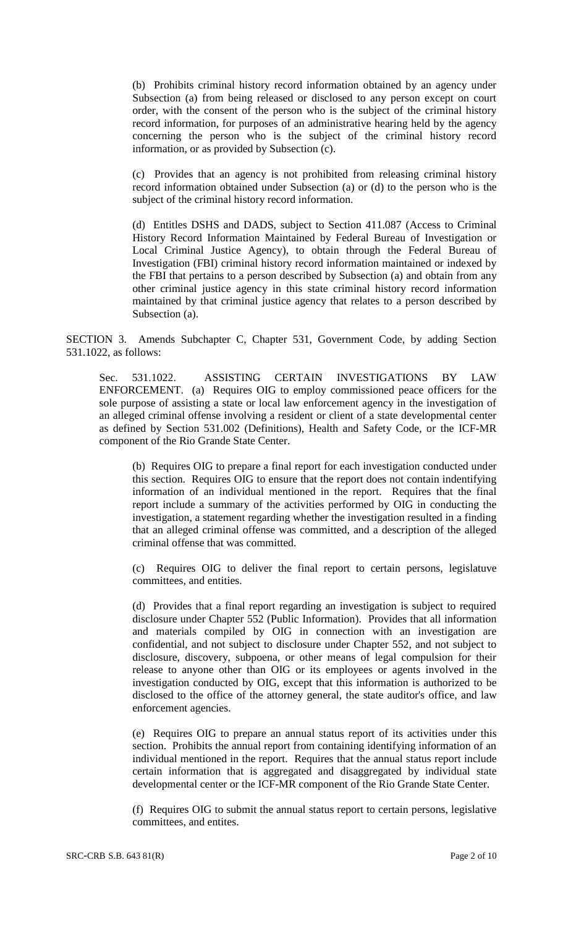(b) Prohibits criminal history record information obtained by an agency under Subsection (a) from being released or disclosed to any person except on court order, with the consent of the person who is the subject of the criminal history record information, for purposes of an administrative hearing held by the agency concerning the person who is the subject of the criminal history record information, or as provided by Subsection (c).

(c) Provides that an agency is not prohibited from releasing criminal history record information obtained under Subsection (a) or (d) to the person who is the subject of the criminal history record information.

(d) Entitles DSHS and DADS, subject to Section 411.087 (Access to Criminal History Record Information Maintained by Federal Bureau of Investigation or Local Criminal Justice Agency), to obtain through the Federal Bureau of Investigation (FBI) criminal history record information maintained or indexed by the FBI that pertains to a person described by Subsection (a) and obtain from any other criminal justice agency in this state criminal history record information maintained by that criminal justice agency that relates to a person described by Subsection (a).

SECTION 3. Amends Subchapter C, Chapter 531, Government Code, by adding Section 531.1022, as follows:

Sec. 531.1022. ASSISTING CERTAIN INVESTIGATIONS BY LAW ENFORCEMENT. (a) Requires OIG to employ commissioned peace officers for the sole purpose of assisting a state or local law enforcement agency in the investigation of an alleged criminal offense involving a resident or client of a state developmental center as defined by Section 531.002 (Definitions), Health and Safety Code, or the ICF-MR component of the Rio Grande State Center.

(b) Requires OIG to prepare a final report for each investigation conducted under this section. Requires OIG to ensure that the report does not contain indentifying information of an individual mentioned in the report. Requires that the final report include a summary of the activities performed by OIG in conducting the investigation, a statement regarding whether the investigation resulted in a finding that an alleged criminal offense was committed, and a description of the alleged criminal offense that was committed.

(c) Requires OIG to deliver the final report to certain persons, legislatuve committees, and entities.

(d) Provides that a final report regarding an investigation is subject to required disclosure under Chapter 552 (Public Information). Provides that all information and materials compiled by OIG in connection with an investigation are confidential, and not subject to disclosure under Chapter 552, and not subject to disclosure, discovery, subpoena, or other means of legal compulsion for their release to anyone other than OIG or its employees or agents involved in the investigation conducted by OIG, except that this information is authorized to be disclosed to the office of the attorney general, the state auditor's office, and law enforcement agencies.

(e) Requires OIG to prepare an annual status report of its activities under this section. Prohibits the annual report from containing identifying information of an individual mentioned in the report. Requires that the annual status report include certain information that is aggregated and disaggregated by individual state developmental center or the ICF-MR component of the Rio Grande State Center.

(f) Requires OIG to submit the annual status report to certain persons, legislative committees, and entites.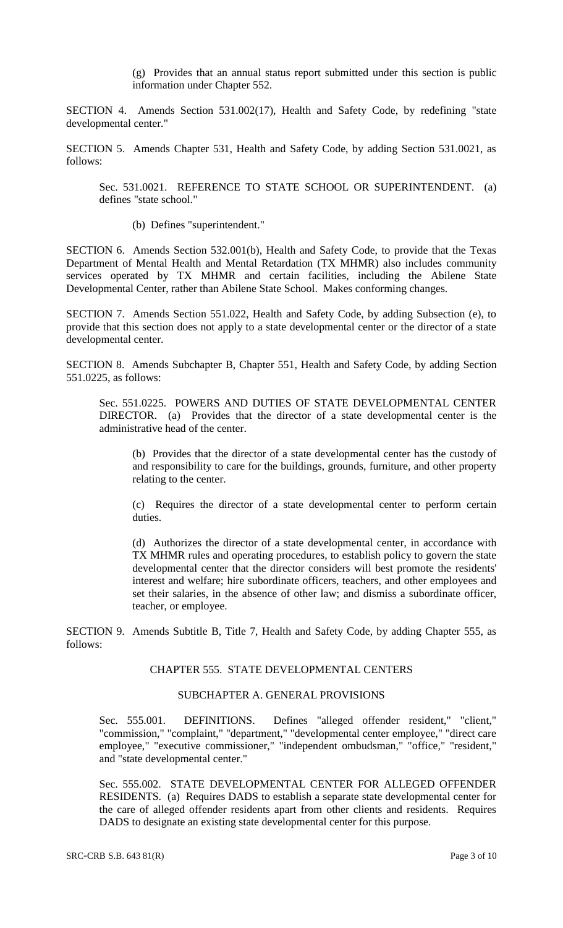(g) Provides that an annual status report submitted under this section is public information under Chapter 552.

SECTION 4. Amends Section 531.002(17), Health and Safety Code, by redefining "state developmental center."

SECTION 5. Amends Chapter 531, Health and Safety Code, by adding Section 531.0021, as follows:

Sec. 531.0021. REFERENCE TO STATE SCHOOL OR SUPERINTENDENT. (a) defines "state school."

(b) Defines "superintendent."

SECTION 6. Amends Section 532.001(b), Health and Safety Code, to provide that the Texas Department of Mental Health and Mental Retardation (TX MHMR) also includes community services operated by TX MHMR and certain facilities, including the Abilene State Developmental Center, rather than Abilene State School. Makes conforming changes.

SECTION 7. Amends Section 551.022, Health and Safety Code, by adding Subsection (e), to provide that this section does not apply to a state developmental center or the director of a state developmental center.

SECTION 8. Amends Subchapter B, Chapter 551, Health and Safety Code, by adding Section 551.0225, as follows:

Sec. 551.0225. POWERS AND DUTIES OF STATE DEVELOPMENTAL CENTER DIRECTOR. (a) Provides that the director of a state developmental center is the administrative head of the center.

(b) Provides that the director of a state developmental center has the custody of and responsibility to care for the buildings, grounds, furniture, and other property relating to the center.

(c) Requires the director of a state developmental center to perform certain duties.

(d) Authorizes the director of a state developmental center, in accordance with TX MHMR rules and operating procedures, to establish policy to govern the state developmental center that the director considers will best promote the residents' interest and welfare; hire subordinate officers, teachers, and other employees and set their salaries, in the absence of other law; and dismiss a subordinate officer, teacher, or employee.

SECTION 9. Amends Subtitle B, Title 7, Health and Safety Code, by adding Chapter 555, as follows:

## CHAPTER 555. STATE DEVELOPMENTAL CENTERS

### SUBCHAPTER A. GENERAL PROVISIONS

Sec. 555.001. DEFINITIONS. Defines "alleged offender resident," "client," "commission," "complaint," "department," "developmental center employee," "direct care employee," "executive commissioner," "independent ombudsman," "office," "resident," and "state developmental center."

Sec. 555.002. STATE DEVELOPMENTAL CENTER FOR ALLEGED OFFENDER RESIDENTS. (a) Requires DADS to establish a separate state developmental center for the care of alleged offender residents apart from other clients and residents. Requires DADS to designate an existing state developmental center for this purpose.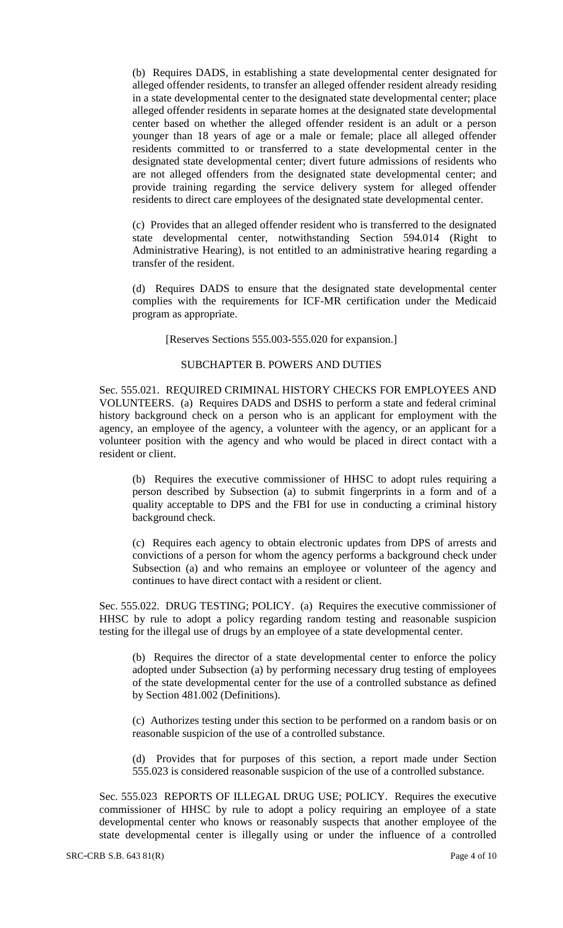(b) Requires DADS, in establishing a state developmental center designated for alleged offender residents, to transfer an alleged offender resident already residing in a state developmental center to the designated state developmental center; place alleged offender residents in separate homes at the designated state developmental center based on whether the alleged offender resident is an adult or a person younger than 18 years of age or a male or female; place all alleged offender residents committed to or transferred to a state developmental center in the designated state developmental center; divert future admissions of residents who are not alleged offenders from the designated state developmental center; and provide training regarding the service delivery system for alleged offender residents to direct care employees of the designated state developmental center.

(c) Provides that an alleged offender resident who is transferred to the designated state developmental center, notwithstanding Section 594.014 (Right to Administrative Hearing), is not entitled to an administrative hearing regarding a transfer of the resident.

(d) Requires DADS to ensure that the designated state developmental center complies with the requirements for ICF-MR certification under the Medicaid program as appropriate.

[Reserves Sections 555.003-555.020 for expansion.]

#### SUBCHAPTER B. POWERS AND DUTIES

Sec. 555.021. REQUIRED CRIMINAL HISTORY CHECKS FOR EMPLOYEES AND VOLUNTEERS. (a) Requires DADS and DSHS to perform a state and federal criminal history background check on a person who is an applicant for employment with the agency, an employee of the agency, a volunteer with the agency, or an applicant for a volunteer position with the agency and who would be placed in direct contact with a resident or client.

(b) Requires the executive commissioner of HHSC to adopt rules requiring a person described by Subsection (a) to submit fingerprints in a form and of a quality acceptable to DPS and the FBI for use in conducting a criminal history background check.

(c) Requires each agency to obtain electronic updates from DPS of arrests and convictions of a person for whom the agency performs a background check under Subsection (a) and who remains an employee or volunteer of the agency and continues to have direct contact with a resident or client.

Sec. 555.022. DRUG TESTING; POLICY. (a) Requires the executive commissioner of HHSC by rule to adopt a policy regarding random testing and reasonable suspicion testing for the illegal use of drugs by an employee of a state developmental center.

(b) Requires the director of a state developmental center to enforce the policy adopted under Subsection (a) by performing necessary drug testing of employees of the state developmental center for the use of a controlled substance as defined by Section 481.002 (Definitions).

(c) Authorizes testing under this section to be performed on a random basis or on reasonable suspicion of the use of a controlled substance.

(d) Provides that for purposes of this section, a report made under Section 555.023 is considered reasonable suspicion of the use of a controlled substance.

Sec. 555.023 REPORTS OF ILLEGAL DRUG USE; POLICY. Requires the executive commissioner of HHSC by rule to adopt a policy requiring an employee of a state developmental center who knows or reasonably suspects that another employee of the state developmental center is illegally using or under the influence of a controlled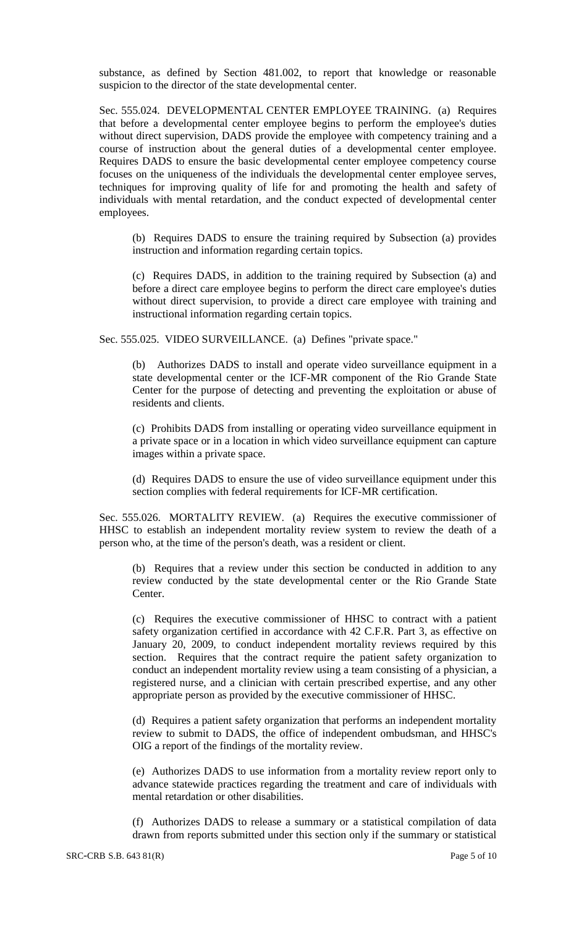substance, as defined by Section 481.002, to report that knowledge or reasonable suspicion to the director of the state developmental center.

Sec. 555.024. DEVELOPMENTAL CENTER EMPLOYEE TRAINING. (a) Requires that before a developmental center employee begins to perform the employee's duties without direct supervision, DADS provide the employee with competency training and a course of instruction about the general duties of a developmental center employee. Requires DADS to ensure the basic developmental center employee competency course focuses on the uniqueness of the individuals the developmental center employee serves, techniques for improving quality of life for and promoting the health and safety of individuals with mental retardation, and the conduct expected of developmental center employees.

(b) Requires DADS to ensure the training required by Subsection (a) provides instruction and information regarding certain topics.

(c) Requires DADS, in addition to the training required by Subsection (a) and before a direct care employee begins to perform the direct care employee's duties without direct supervision, to provide a direct care employee with training and instructional information regarding certain topics.

Sec. 555.025. VIDEO SURVEILLANCE. (a) Defines "private space."

(b) Authorizes DADS to install and operate video surveillance equipment in a state developmental center or the ICF-MR component of the Rio Grande State Center for the purpose of detecting and preventing the exploitation or abuse of residents and clients.

(c) Prohibits DADS from installing or operating video surveillance equipment in a private space or in a location in which video surveillance equipment can capture images within a private space.

(d) Requires DADS to ensure the use of video surveillance equipment under this section complies with federal requirements for ICF-MR certification.

Sec. 555.026. MORTALITY REVIEW. (a) Requires the executive commissioner of HHSC to establish an independent mortality review system to review the death of a person who, at the time of the person's death, was a resident or client.

(b) Requires that a review under this section be conducted in addition to any review conducted by the state developmental center or the Rio Grande State Center.

(c) Requires the executive commissioner of HHSC to contract with a patient safety organization certified in accordance with 42 C.F.R. Part 3, as effective on January 20, 2009, to conduct independent mortality reviews required by this section. Requires that the contract require the patient safety organization to conduct an independent mortality review using a team consisting of a physician, a registered nurse, and a clinician with certain prescribed expertise, and any other appropriate person as provided by the executive commissioner of HHSC.

(d) Requires a patient safety organization that performs an independent mortality review to submit to DADS, the office of independent ombudsman, and HHSC's OIG a report of the findings of the mortality review.

(e) Authorizes DADS to use information from a mortality review report only to advance statewide practices regarding the treatment and care of individuals with mental retardation or other disabilities.

(f) Authorizes DADS to release a summary or a statistical compilation of data drawn from reports submitted under this section only if the summary or statistical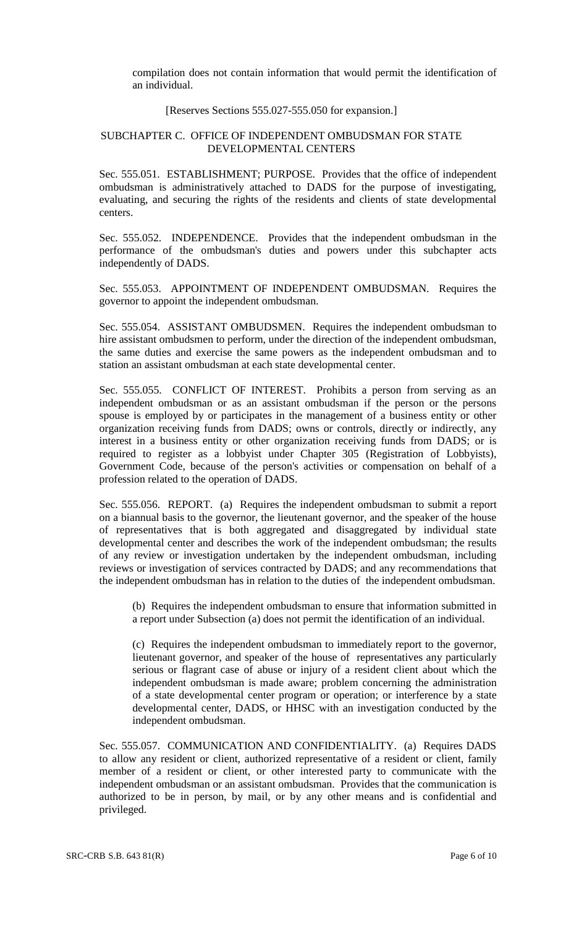compilation does not contain information that would permit the identification of an individual.

# [Reserves Sections 555.027-555.050 for expansion.]

### SUBCHAPTER C. OFFICE OF INDEPENDENT OMBUDSMAN FOR STATE DEVELOPMENTAL CENTERS

Sec. 555.051. ESTABLISHMENT; PURPOSE. Provides that the office of independent ombudsman is administratively attached to DADS for the purpose of investigating, evaluating, and securing the rights of the residents and clients of state developmental centers.

Sec. 555.052. INDEPENDENCE. Provides that the independent ombudsman in the performance of the ombudsman's duties and powers under this subchapter acts independently of DADS.

Sec. 555.053. APPOINTMENT OF INDEPENDENT OMBUDSMAN. Requires the governor to appoint the independent ombudsman.

Sec. 555.054. ASSISTANT OMBUDSMEN. Requires the independent ombudsman to hire assistant ombudsmen to perform, under the direction of the independent ombudsman, the same duties and exercise the same powers as the independent ombudsman and to station an assistant ombudsman at each state developmental center.

Sec. 555.055. CONFLICT OF INTEREST. Prohibits a person from serving as an independent ombudsman or as an assistant ombudsman if the person or the persons spouse is employed by or participates in the management of a business entity or other organization receiving funds from DADS; owns or controls, directly or indirectly, any interest in a business entity or other organization receiving funds from DADS; or is required to register as a lobbyist under Chapter 305 (Registration of Lobbyists), Government Code, because of the person's activities or compensation on behalf of a profession related to the operation of DADS.

Sec. 555.056. REPORT. (a) Requires the independent ombudsman to submit a report on a biannual basis to the governor, the lieutenant governor, and the speaker of the house of representatives that is both aggregated and disaggregated by individual state developmental center and describes the work of the independent ombudsman; the results of any review or investigation undertaken by the independent ombudsman, including reviews or investigation of services contracted by DADS; and any recommendations that the independent ombudsman has in relation to the duties of the independent ombudsman.

(b) Requires the independent ombudsman to ensure that information submitted in a report under Subsection (a) does not permit the identification of an individual.

(c) Requires the independent ombudsman to immediately report to the governor, lieutenant governor, and speaker of the house of representatives any particularly serious or flagrant case of abuse or injury of a resident client about which the independent ombudsman is made aware; problem concerning the administration of a state developmental center program or operation; or interference by a state developmental center, DADS, or HHSC with an investigation conducted by the independent ombudsman.

Sec. 555.057. COMMUNICATION AND CONFIDENTIALITY. (a) Requires DADS to allow any resident or client, authorized representative of a resident or client, family member of a resident or client, or other interested party to communicate with the independent ombudsman or an assistant ombudsman. Provides that the communication is authorized to be in person, by mail, or by any other means and is confidential and privileged.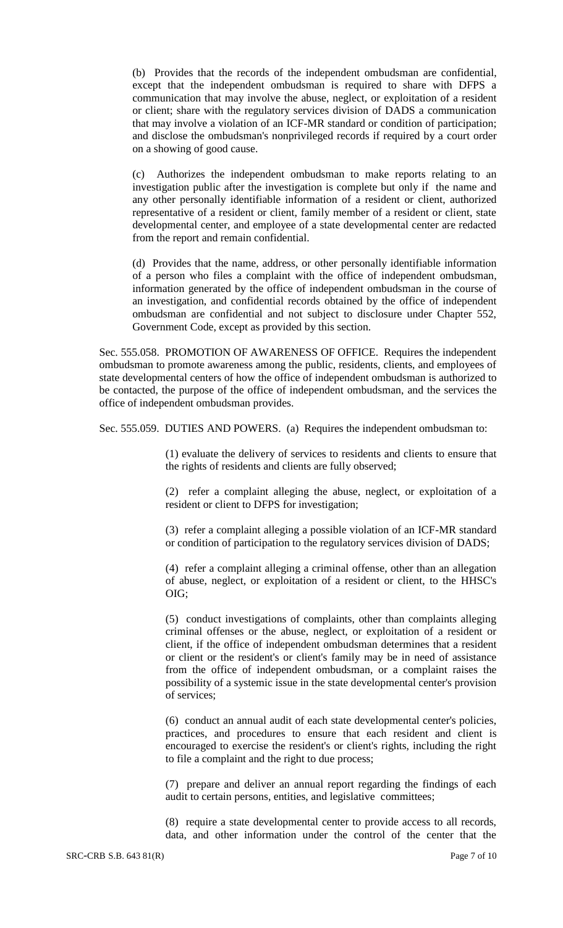(b) Provides that the records of the independent ombudsman are confidential, except that the independent ombudsman is required to share with DFPS a communication that may involve the abuse, neglect, or exploitation of a resident or client; share with the regulatory services division of DADS a communication that may involve a violation of an ICF-MR standard or condition of participation; and disclose the ombudsman's nonprivileged records if required by a court order on a showing of good cause.

(c) Authorizes the independent ombudsman to make reports relating to an investigation public after the investigation is complete but only if the name and any other personally identifiable information of a resident or client, authorized representative of a resident or client, family member of a resident or client, state developmental center, and employee of a state developmental center are redacted from the report and remain confidential.

(d) Provides that the name, address, or other personally identifiable information of a person who files a complaint with the office of independent ombudsman, information generated by the office of independent ombudsman in the course of an investigation, and confidential records obtained by the office of independent ombudsman are confidential and not subject to disclosure under Chapter 552, Government Code, except as provided by this section.

Sec. 555.058. PROMOTION OF AWARENESS OF OFFICE. Requires the independent ombudsman to promote awareness among the public, residents, clients, and employees of state developmental centers of how the office of independent ombudsman is authorized to be contacted, the purpose of the office of independent ombudsman, and the services the office of independent ombudsman provides.

Sec. 555.059. DUTIES AND POWERS. (a) Requires the independent ombudsman to:

(1) evaluate the delivery of services to residents and clients to ensure that the rights of residents and clients are fully observed;

(2) refer a complaint alleging the abuse, neglect, or exploitation of a resident or client to DFPS for investigation;

(3) refer a complaint alleging a possible violation of an ICF-MR standard or condition of participation to the regulatory services division of DADS;

(4) refer a complaint alleging a criminal offense, other than an allegation of abuse, neglect, or exploitation of a resident or client, to the HHSC's OIG;

(5) conduct investigations of complaints, other than complaints alleging criminal offenses or the abuse, neglect, or exploitation of a resident or client, if the office of independent ombudsman determines that a resident or client or the resident's or client's family may be in need of assistance from the office of independent ombudsman, or a complaint raises the possibility of a systemic issue in the state developmental center's provision of services;

(6) conduct an annual audit of each state developmental center's policies, practices, and procedures to ensure that each resident and client is encouraged to exercise the resident's or client's rights, including the right to file a complaint and the right to due process;

(7) prepare and deliver an annual report regarding the findings of each audit to certain persons, entities, and legislative committees;

(8) require a state developmental center to provide access to all records, data, and other information under the control of the center that the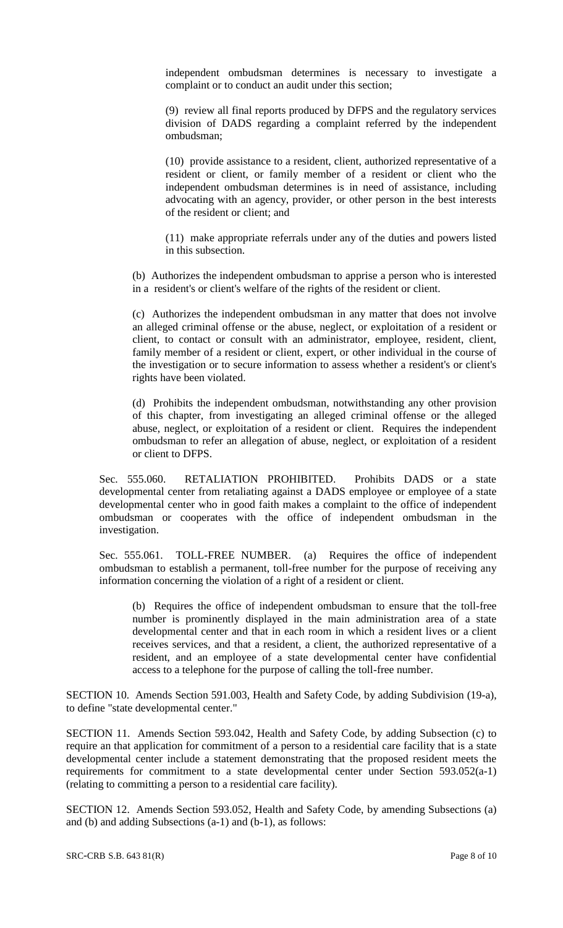independent ombudsman determines is necessary to investigate a complaint or to conduct an audit under this section;

(9) review all final reports produced by DFPS and the regulatory services division of DADS regarding a complaint referred by the independent ombudsman;

(10) provide assistance to a resident, client, authorized representative of a resident or client, or family member of a resident or client who the independent ombudsman determines is in need of assistance, including advocating with an agency, provider, or other person in the best interests of the resident or client; and

(11) make appropriate referrals under any of the duties and powers listed in this subsection.

(b) Authorizes the independent ombudsman to apprise a person who is interested in a resident's or client's welfare of the rights of the resident or client.

(c) Authorizes the independent ombudsman in any matter that does not involve an alleged criminal offense or the abuse, neglect, or exploitation of a resident or client, to contact or consult with an administrator, employee, resident, client, family member of a resident or client, expert, or other individual in the course of the investigation or to secure information to assess whether a resident's or client's rights have been violated.

(d) Prohibits the independent ombudsman, notwithstanding any other provision of this chapter, from investigating an alleged criminal offense or the alleged abuse, neglect, or exploitation of a resident or client. Requires the independent ombudsman to refer an allegation of abuse, neglect, or exploitation of a resident or client to DFPS.

Sec. 555.060. RETALIATION PROHIBITED. Prohibits DADS or a state developmental center from retaliating against a DADS employee or employee of a state developmental center who in good faith makes a complaint to the office of independent ombudsman or cooperates with the office of independent ombudsman in the investigation.

Sec. 555.061. TOLL-FREE NUMBER. (a) Requires the office of independent ombudsman to establish a permanent, toll-free number for the purpose of receiving any information concerning the violation of a right of a resident or client.

(b) Requires the office of independent ombudsman to ensure that the toll-free number is prominently displayed in the main administration area of a state developmental center and that in each room in which a resident lives or a client receives services, and that a resident, a client, the authorized representative of a resident, and an employee of a state developmental center have confidential access to a telephone for the purpose of calling the toll-free number.

SECTION 10. Amends Section 591.003, Health and Safety Code, by adding Subdivision (19-a), to define "state developmental center."

SECTION 11. Amends Section 593.042, Health and Safety Code, by adding Subsection (c) to require an that application for commitment of a person to a residential care facility that is a state developmental center include a statement demonstrating that the proposed resident meets the requirements for commitment to a state developmental center under Section 593.052(a-1) (relating to committing a person to a residential care facility).

SECTION 12. Amends Section 593.052, Health and Safety Code, by amending Subsections (a) and (b) and adding Subsections (a-1) and (b-1), as follows: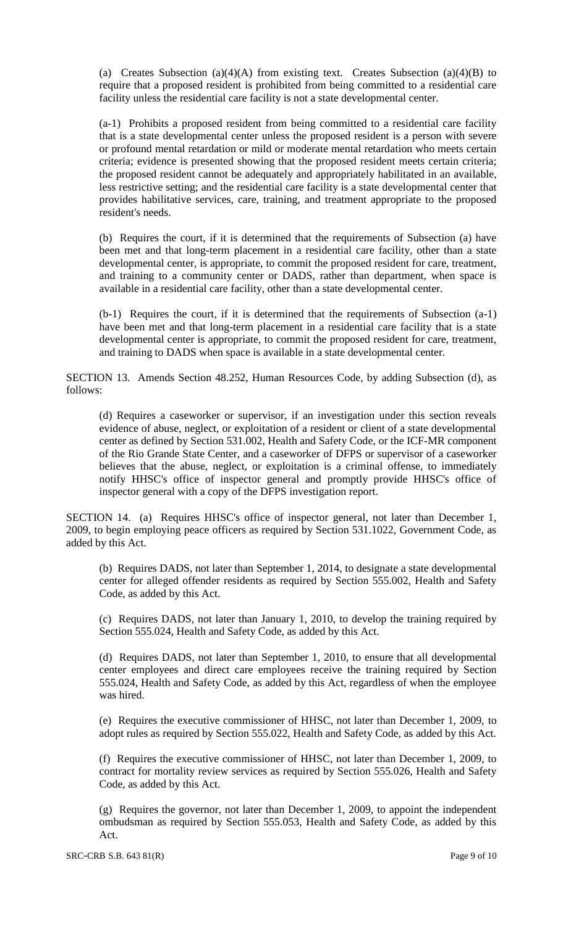(a) Creates Subsection (a)(4)(A) from existing text. Creates Subsection (a)(4)(B) to require that a proposed resident is prohibited from being committed to a residential care facility unless the residential care facility is not a state developmental center.

(a-1) Prohibits a proposed resident from being committed to a residential care facility that is a state developmental center unless the proposed resident is a person with severe or profound mental retardation or mild or moderate mental retardation who meets certain criteria; evidence is presented showing that the proposed resident meets certain criteria; the proposed resident cannot be adequately and appropriately habilitated in an available, less restrictive setting; and the residential care facility is a state developmental center that provides habilitative services, care, training, and treatment appropriate to the proposed resident's needs.

(b) Requires the court, if it is determined that the requirements of Subsection (a) have been met and that long-term placement in a residential care facility, other than a state developmental center, is appropriate, to commit the proposed resident for care, treatment, and training to a community center or DADS, rather than department, when space is available in a residential care facility, other than a state developmental center.

(b-1) Requires the court, if it is determined that the requirements of Subsection (a-1) have been met and that long-term placement in a residential care facility that is a state developmental center is appropriate, to commit the proposed resident for care, treatment, and training to DADS when space is available in a state developmental center.

SECTION 13. Amends Section 48.252, Human Resources Code, by adding Subsection (d), as follows:

(d) Requires a caseworker or supervisor, if an investigation under this section reveals evidence of abuse, neglect, or exploitation of a resident or client of a state developmental center as defined by Section 531.002, Health and Safety Code, or the ICF-MR component of the Rio Grande State Center, and a caseworker of DFPS or supervisor of a caseworker believes that the abuse, neglect, or exploitation is a criminal offense, to immediately notify HHSC's office of inspector general and promptly provide HHSC's office of inspector general with a copy of the DFPS investigation report.

SECTION 14. (a) Requires HHSC's office of inspector general, not later than December 1, 2009, to begin employing peace officers as required by Section 531.1022, Government Code, as added by this Act.

(b) Requires DADS, not later than September 1, 2014, to designate a state developmental center for alleged offender residents as required by Section 555.002, Health and Safety Code, as added by this Act.

(c) Requires DADS, not later than January 1, 2010, to develop the training required by Section 555.024, Health and Safety Code, as added by this Act.

(d) Requires DADS, not later than September 1, 2010, to ensure that all developmental center employees and direct care employees receive the training required by Section 555.024, Health and Safety Code, as added by this Act, regardless of when the employee was hired.

(e) Requires the executive commissioner of HHSC, not later than December 1, 2009, to adopt rules as required by Section 555.022, Health and Safety Code, as added by this Act.

(f) Requires the executive commissioner of HHSC, not later than December 1, 2009, to contract for mortality review services as required by Section 555.026, Health and Safety Code, as added by this Act.

(g) Requires the governor, not later than December 1, 2009, to appoint the independent ombudsman as required by Section 555.053, Health and Safety Code, as added by this Act.